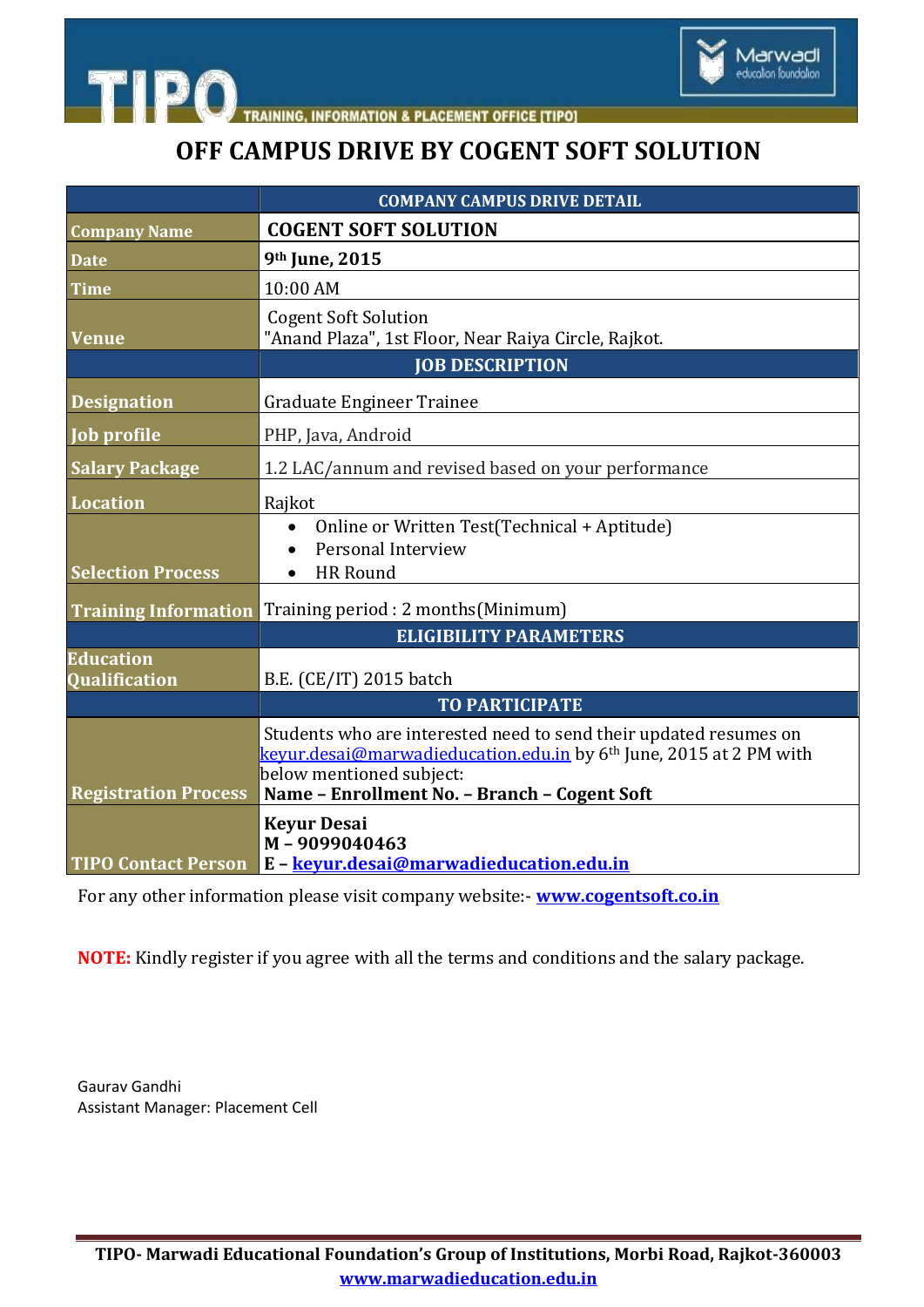

**TIPO** TRAINING, INFORMATION & PLACEMENT OFFICE [TIPO]

## **OFF CAMPUS DRIVE BY COGENT SOFT SOLUTION**

|                                          | <b>COMPANY CAMPUS DRIVE DETAIL</b>                                                                                                                                                                                              |
|------------------------------------------|---------------------------------------------------------------------------------------------------------------------------------------------------------------------------------------------------------------------------------|
| <b>Company Name</b>                      | <b>COGENT SOFT SOLUTION</b>                                                                                                                                                                                                     |
| <b>Date</b>                              | 9th June, 2015                                                                                                                                                                                                                  |
| <b>Time</b>                              | 10:00 AM                                                                                                                                                                                                                        |
| <b>Venue</b>                             | <b>Cogent Soft Solution</b><br>"Anand Plaza", 1st Floor, Near Raiya Circle, Rajkot.                                                                                                                                             |
|                                          | <b>JOB DESCRIPTION</b>                                                                                                                                                                                                          |
| <b>Designation</b>                       | Graduate Engineer Trainee                                                                                                                                                                                                       |
| Job profile                              | PHP, Java, Android                                                                                                                                                                                                              |
| <b>Salary Package</b>                    | 1.2 LAC/annum and revised based on your performance                                                                                                                                                                             |
| <b>Location</b>                          | Rajkot                                                                                                                                                                                                                          |
| <b>Selection Process</b>                 | Online or Written Test(Technical + Aptitude)<br>Personal Interview<br><b>HR</b> Round                                                                                                                                           |
| <b>Training Information</b>              | Training period : 2 months (Minimum)                                                                                                                                                                                            |
|                                          | <b>ELIGIBILITY PARAMETERS</b>                                                                                                                                                                                                   |
| <b>Education</b><br><b>Qualification</b> | B.E. (CE/IT) 2015 batch                                                                                                                                                                                                         |
|                                          | <b>TO PARTICIPATE</b>                                                                                                                                                                                                           |
| <b>Registration Process</b>              | Students who are interested need to send their updated resumes on<br>keyur.desai@marwadieducation.edu.in by 6 <sup>th</sup> June, 2015 at 2 PM with<br>below mentioned subject:<br>Name - Enrollment No. - Branch - Cogent Soft |
| <b>TIPO Contact Person</b>               | <b>Keyur Desai</b><br>M-9099040463<br>E - keyur.desai@marwadieducation.edu.in                                                                                                                                                   |

For any other information please visit company website:- **[www.cogentsoft.co.in](file:///C:\Users\Marwadi\Desktop\CAMPUS%20NOTICES\www.cogentsoft.co.in)**

**NOTE:** Kindly register if you agree with all the terms and conditions and the salary package.

Gaurav Gandhi Assistant Manager: Placement Cell

**TIPO- Marwadi Educational Foundation's Group of Institutions, Morbi Road, Rajkot-360003 www.marwadieducation.edu.in**